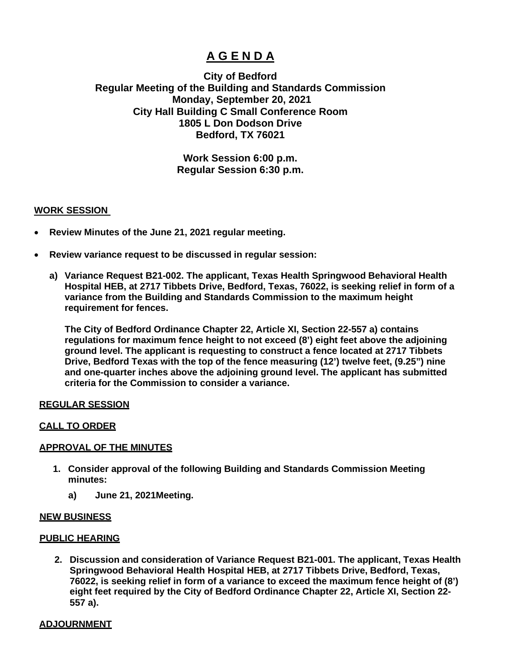# **A G E N D A**

## **City of Bedford Regular Meeting of the Building and Standards Commission Monday, September 20, 2021 City Hall Building C Small Conference Room 1805 L Don Dodson Drive Bedford, TX 76021**

### **Work Session 6:00 p.m. Regular Session 6:30 p.m.**

#### **WORK SESSION**

- **Review Minutes of the June 21, 2021 regular meeting.**
- **Review variance request to be discussed in regular session:** 
	- **a) Variance Request B21-002. The applicant, Texas Health Springwood Behavioral Health Hospital HEB, at 2717 Tibbets Drive, Bedford, Texas, 76022, is seeking relief in form of a variance from the Building and Standards Commission to the maximum height requirement for fences.**

**The City of Bedford Ordinance Chapter 22, Article XI, Section 22-557 a) contains regulations for maximum fence height to not exceed (8') eight feet above the adjoining ground level. The applicant is requesting to construct a fence located at 2717 Tibbets Drive, Bedford Texas with the top of the fence measuring (12') twelve feet, (9.25") nine and one-quarter inches above the adjoining ground level. The applicant has submitted criteria for the Commission to consider a variance.**

#### **REGULAR SESSION**

#### **CALL TO ORDER**

#### **APPROVAL OF THE MINUTES**

- **1. Consider approval of the following Building and Standards Commission Meeting minutes:**
	- **a) June 21, 2021Meeting.**

#### **NEW BUSINESS**

#### **PUBLIC HEARING**

**2. Discussion and consideration of Variance Request B21-001. The applicant, Texas Health Springwood Behavioral Health Hospital HEB, at 2717 Tibbets Drive, Bedford, Texas, 76022, is seeking relief in form of a variance to exceed the maximum fence height of (8') eight feet required by the City of Bedford Ordinance Chapter 22, Article XI, Section 22- 557 a).**

#### **ADJOURNMENT**